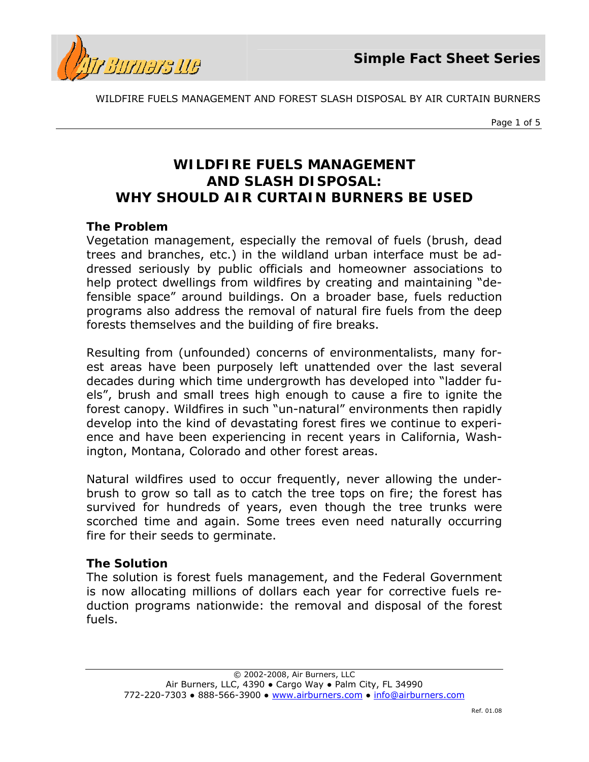

*Page 1 of 5*

## **WILDFIRE FUELS MANAGEMENT AND SLASH DISPOSAL:**  *WHY SHOULD AIR CURTAIN BURNERS BE USED*

## **The Problem**

Vegetation management, especially the removal of fuels (brush, dead trees and branches, etc.) in the wildland urban interface must be addressed seriously by public officials and homeowner associations to help protect dwellings from wildfires by creating and maintaining "defensible space" around buildings. On a broader base, fuels reduction programs also address the removal of natural fire fuels from the deep forests themselves and the building of fire breaks.

Resulting from (unfounded) concerns of environmentalists, many forest areas have been purposely left unattended over the last several decades during which time undergrowth has developed into "ladder fuels", brush and small trees high enough to cause a fire to ignite the forest canopy. Wildfires in such "un-natural" environments then rapidly develop into the kind of devastating forest fires we continue to experience and have been experiencing in recent years in California, Washington, Montana, Colorado and other forest areas.

Natural wildfires used to occur frequently, never allowing the underbrush to grow so tall as to catch the tree tops on fire; the forest has survived for hundreds of years, even though the tree trunks were scorched time and again. Some trees even need naturally occurring fire for their seeds to germinate.

## **The Solution**

The solution is forest fuels management, and the Federal Government is now allocating millions of dollars each year for corrective fuels reduction programs nationwide: the removal and disposal of the forest fuels.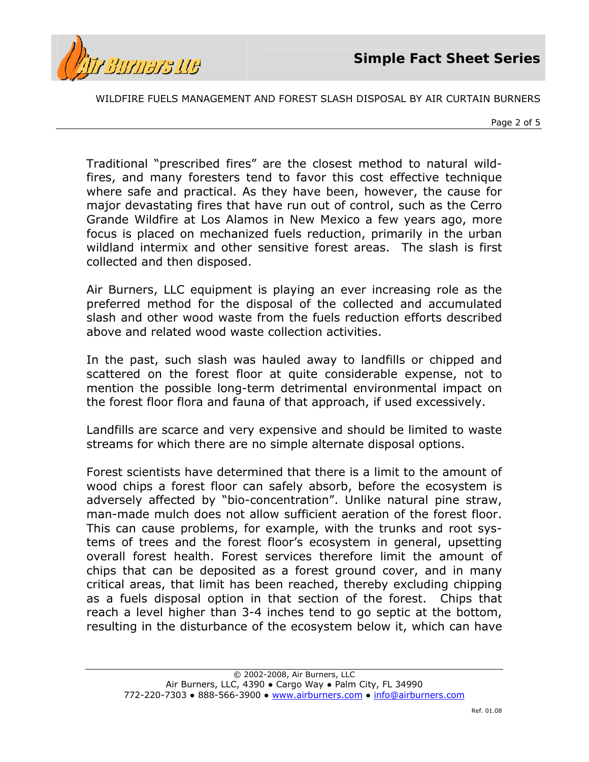



*Page 2 of 5*

Traditional "prescribed fires" are the closest method to natural wildfires, and many foresters tend to favor this cost effective technique where safe and practical. As they have been, however, the cause for major devastating fires that have run out of control, such as the Cerro Grande Wildfire at Los Alamos in New Mexico a few years ago, more focus is placed on mechanized fuels reduction, primarily in the urban wildland intermix and other sensitive forest areas. The slash is first collected and then disposed.

Air Burners, LLC equipment is playing an ever increasing role as the preferred method for the disposal of the collected and accumulated slash and other wood waste from the fuels reduction efforts described above and related wood waste collection activities.

In the past, such slash was hauled away to landfills or chipped and scattered on the forest floor at quite considerable expense, not to mention the possible long-term detrimental environmental impact on the forest floor flora and fauna of that approach, if used excessively.

Landfills are scarce and very expensive and should be limited to waste streams for which there are no simple alternate disposal options.

Forest scientists have determined that there is a limit to the amount of wood chips a forest floor can safely absorb, before the ecosystem is adversely affected by "bio-concentration". Unlike natural pine straw, man-made mulch does not allow sufficient aeration of the forest floor. This can cause problems, for example, with the trunks and root systems of trees and the forest floor's ecosystem in general, upsetting overall forest health. Forest services therefore limit the amount of chips that can be deposited as a forest ground cover, and in many critical areas, that limit has been reached, thereby excluding chipping as a fuels disposal option in that section of the forest. Chips that reach a level higher than 3-4 inches tend to go septic at the bottom, resulting in the disturbance of the ecosystem below it, which can have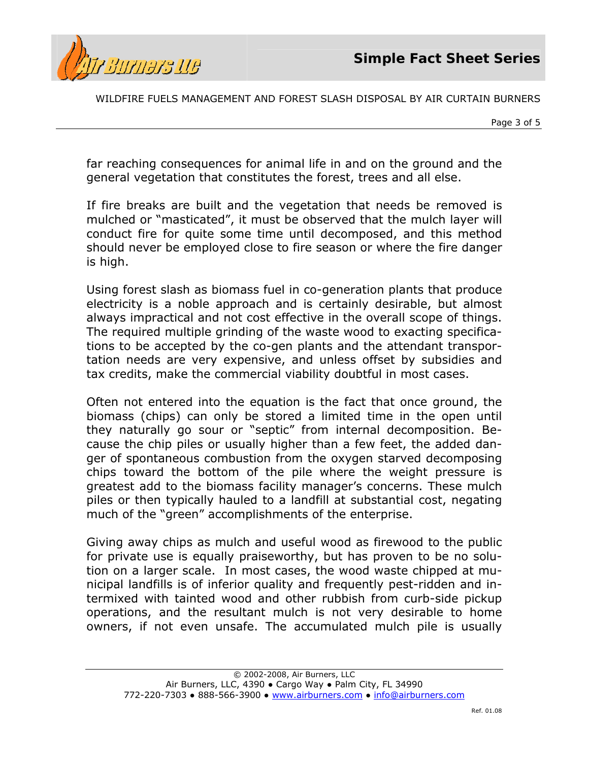



*Page 3 of 5*

far reaching consequences for animal life in and on the ground and the general vegetation that constitutes the forest, trees and all else.

If fire breaks are built and the vegetation that needs be removed is mulched or "masticated", it must be observed that the mulch layer will conduct fire for quite some time until decomposed, and this method should never be employed close to fire season or where the fire danger is high.

Using forest slash as biomass fuel in co-generation plants that produce electricity is a noble approach and is certainly desirable, but almost always impractical and not cost effective in the overall scope of things. The required multiple grinding of the waste wood to exacting specifications to be accepted by the co-gen plants and the attendant transportation needs are very expensive, and unless offset by subsidies and tax credits, make the commercial viability doubtful in most cases.

Often not entered into the equation is the fact that once ground, the biomass (chips) can only be stored a limited time in the open until they naturally go sour or "septic" from internal decomposition. Because the chip piles or usually higher than a few feet, the added danger of spontaneous combustion from the oxygen starved decomposing chips toward the bottom of the pile where the weight pressure is greatest add to the biomass facility manager's concerns. These mulch piles or then typically hauled to a landfill at substantial cost, negating much of the "green" accomplishments of the enterprise.

Giving away chips as mulch and useful wood as firewood to the public for private use is equally praiseworthy, but has proven to be no solution on a larger scale. In most cases, the wood waste chipped at municipal landfills is of inferior quality and frequently pest-ridden and intermixed with tainted wood and other rubbish from curb-side pickup operations, and the resultant mulch is not very desirable to home owners, if not even unsafe. The accumulated mulch pile is usually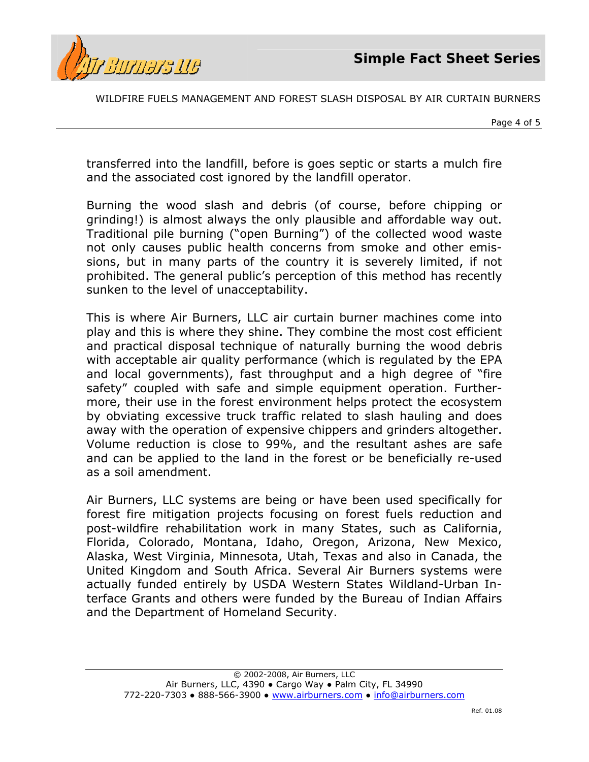



*Page 4 of 5*

transferred into the landfill, before is goes septic or starts a mulch fire and the associated cost ignored by the landfill operator.

Burning the wood slash and debris (of course, before chipping or grinding!) is almost always the only plausible and affordable way out. Traditional pile burning ("open Burning") of the collected wood waste not only causes public health concerns from smoke and other emissions, but in many parts of the country it is severely limited, if not prohibited. The general public's perception of this method has recently sunken to the level of unacceptability.

This is where Air Burners, LLC air curtain burner machines come into play and this is where they shine. They combine the most cost efficient and practical disposal technique of naturally burning the wood debris with acceptable air quality performance (which is regulated by the EPA and local governments), fast throughput and a high degree of "fire safety" coupled with safe and simple equipment operation. Furthermore, their use in the forest environment helps protect the ecosystem by obviating excessive truck traffic related to slash hauling and does away with the operation of expensive chippers and grinders altogether. Volume reduction is close to 99%, and the resultant ashes are safe and can be applied to the land in the forest or be beneficially re-used as a soil amendment.

Air Burners, LLC systems are being or have been used specifically for forest fire mitigation projects focusing on forest fuels reduction and post-wildfire rehabilitation work in many States, such as California, Florida, Colorado, Montana, Idaho, Oregon, Arizona, New Mexico, Alaska, West Virginia, Minnesota, Utah, Texas and also in Canada, the United Kingdom and South Africa. Several Air Burners systems were actually funded entirely by USDA Western States Wildland-Urban Interface Grants and others were funded by the Bureau of Indian Affairs and the Department of Homeland Security.